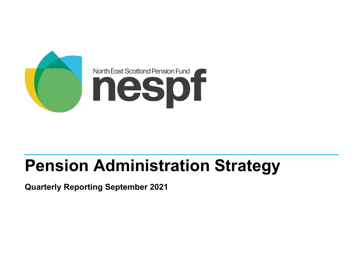

# **Pension Administration Strategy**

**Quarterly Reporting September 2021**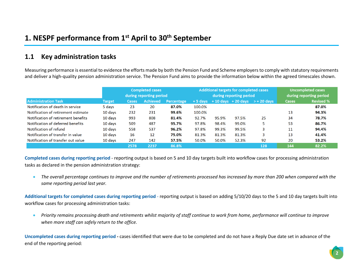#### **1.1 Key administration tasks**

Measuring performance is essential to evidence the efforts made by both the Pension Fund and Scheme employers to comply with statutory requirements and deliver a high-quality pension administration service. The Pension Fund aims to provide the information below within the agreed timescales shown.

|                                     |               | <b>Completed cases</b>  |                 |            |        |       | <b>Additional targets for completed cases</b> | <b>Uncompleted cases</b>                     |              |                  |  |
|-------------------------------------|---------------|-------------------------|-----------------|------------|--------|-------|-----------------------------------------------|----------------------------------------------|--------------|------------------|--|
|                                     |               | during reporting period |                 |            |        |       | during reporting period                       | during reporting period                      |              |                  |  |
| <b>Administration Task</b>          | <b>Target</b> | Cases                   | <b>Achieved</b> | Percentage |        |       |                                               | $+5$ days $+10$ days $+20$ days $> +20$ days | <b>Cases</b> | <b>Revised %</b> |  |
| Notification of death in service    | 5 days        | 23                      | 20              | 87.0%      | 100.0% |       |                                               |                                              |              | 87.0%            |  |
| Notification of retirement estimate | $10$ days     | 232                     | 231             | 99.6%      | 100.0% |       |                                               |                                              | 13           | 94.3%            |  |
| Notification of retirement benefits | $10$ days     | 993                     | 808             | 81.4%      | 92.7%  | 95.9% | 97.5%                                         | 25                                           | 34           | 78.7%            |  |
| Notification of deferred benefits   | 10 davs       | 509                     | 487             | 95.7%      | 97.8%  | 98.4% | 99.0%                                         |                                              | 53           | 86.7%            |  |
| Notification of refund              | 10 days       | 558                     | 537             | 96.2%      | 97.8%  | 99.3% | 99.5%                                         |                                              | 11           | 94.4%            |  |
| Notification of transfer in value   | $10$ days     | 16                      | 12              | 75.0%      | 81.3%  | 81.3% | 81.3%                                         | 3                                            | 13           | 41.4%            |  |
| Notification of transfer out value  | 10 days       | 247                     | 142             | 57.5%      | 50.0%  | 50.0% | 52.3%                                         | 92                                           | 20           | 53.2%            |  |
|                                     |               | 2578                    | 2237            | 86.8%      |        |       |                                               | 128                                          | 144          | 82.2%            |  |

**Completed cases during reporting period** - reporting output is based on 5 and 10 day targets built into workflow cases for processing administration tasks as declared in the pension administration strategy:

• *The overall percentage continues to improve and the number of retirements processed has increased by more than 200 when compared with the same reporting period last year.* 

**Additional targets for completed cases during reporting period** - reporting output is based on adding 5/10/20 days to the 5 and 10 day targets built into workflow cases for processing administration tasks:

• *Priority remains processing death and retirements whilst majority of staff continue to work from home, performance will continue to improve when more staff can safely return to the office.*

**Uncompleted cases during reporting period -** cases identified that were due to be completed and do not have a Reply Due date set in advance of the end of the reporting period: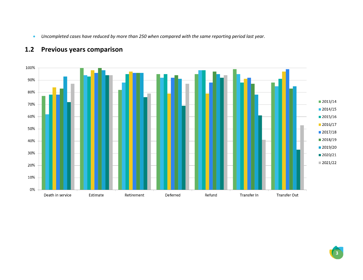• *Uncompleted cases have reduced by more than 250 when compared with the same reporting period last year.*



# **1.2 Previous years comparison**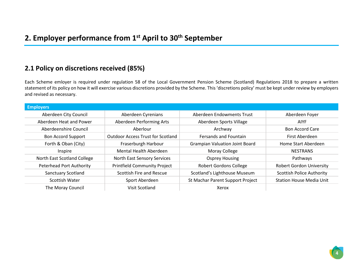#### **2.1 Policy on discretions received (85%)**

Each Scheme emloyer is required under regulation 58 of the Local Government Pension Scheme (Scotland) Regulations 2018 to prepare a written statement of its policy on how it will exercise various discretions provided by the Scheme. This 'discretions policy' must be kept under review by employers and revised as necessary.

| <b>Employers</b>                |                                          |                                       |                                  |
|---------------------------------|------------------------------------------|---------------------------------------|----------------------------------|
| Aberdeen City Council           | Aberdeen Cyrenians                       | Aberdeen Endowments Trust             | Aberdeen Foyer                   |
| Aberdeen Heat and Power         | Aberdeen Performing Arts                 | Aberdeen Sports Village               | <b>AIYF</b>                      |
| Aberdeenshire Council           | Aberlour                                 | Archway                               | <b>Bon Accord Care</b>           |
| <b>Bon Accord Support</b>       | <b>Outdoor Access Trust for Scotland</b> | <b>Fersands and Fountain</b>          | First Aberdeen                   |
| Forth & Oban (City)             | Fraserburgh Harbour                      | <b>Grampian Valuation Joint Board</b> | Home Start Aberdeen              |
| Inspire                         | Mental Health Aberdeen                   | Moray College                         | <b>NESTRANS</b>                  |
| North East Scotland College     | North East Sensory Services              | <b>Osprey Housing</b>                 | Pathways                         |
| <b>Peterhead Port Authority</b> | <b>Printfield Community Project</b>      | <b>Robert Gordons College</b>         | <b>Robert Gordon University</b>  |
| <b>Sanctuary Scotland</b>       | Scottish Fire and Rescue                 | Scotland's Lighthouse Museum          | <b>Scottish Police Authority</b> |
| Scottish Water                  | Sport Aberdeen                           | St Machar Parent Support Project      | <b>Station House Media Unit</b>  |
| The Moray Council               | Visit Scotland                           | Xerox                                 |                                  |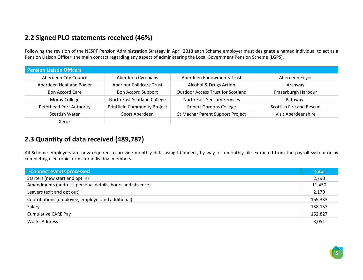## **2.2 Signed PLO statements received (46%)**

Following the revision of the NESPF Pension Administration Strategy in April 2018 each Scheme employer must designate a named individual to act as a Pension Liaison Officer, the main contact regarding any aspect of administering the Local Government Pension Scheme (LGPS).

| <b>Pension Liaison Officers</b> |                                     |                                          |                          |
|---------------------------------|-------------------------------------|------------------------------------------|--------------------------|
| Aberdeen City Council           | Aberdeen Cyrenians                  | Aberdeen Endowments Trust                | Aberdeen Foyer           |
| Aberdeen Heat and Power         | <b>Aberlour Childcare Trust</b>     | Alcohol & Drugs Action                   | Archway                  |
| <b>Bon Accord Care</b>          | <b>Bon Accord Support</b>           | <b>Outdoor Access Trust for Scotland</b> | Fraserburgh Harbour      |
| Moray College                   | North East Scotland College         | North East Sensory Services              | Pathways                 |
| <b>Peterhead Port Authority</b> | <b>Printfield Community Project</b> | <b>Robert Gordons College</b>            | Scottish Fire and Rescue |
| Scottish Water                  | Sport Aberdeen                      | St Machar Parent Support Project         | Visit Aberdeenshire      |
| Xerox                           |                                     |                                          |                          |

## **2.3 Quantity of data received (489,787)**

All Scheme employers are now required to provide monthly data using I-Connect, by way of a monthly file extracted from the payroll system or by completing electronic forms for individual members.

| <b>I-Connect events processed</b>                         | <b>Total</b> |
|-----------------------------------------------------------|--------------|
| Starters (new start and opt in)                           | 2,790        |
| Amendments (address, personal details, hours and absence) | 11,450       |
| Leavers (exit and opt out)                                | 2,179        |
| Contributions (employee, employer and additional)         | 159,333      |
| Salary                                                    | 158,157      |
| <b>Cumulative CARE Pay</b>                                | 152,827      |
| <b>Works Address</b>                                      | 3,051        |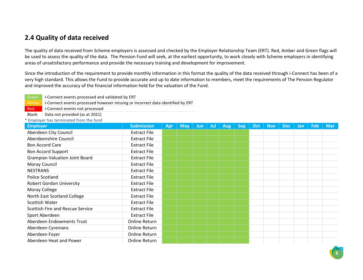#### **2.4 Quality of data received**

The quality of data received from Scheme employers is assessed and checked by the Employer Relationship Team (ERT). Red, Amber and Green flags will be used to assess the quality of the data. The Pension Fund will seek, at the earliest opportunity, to work closely with Scheme employers in identifying areas of unsatisfactory performance and provide the necessary training and development for improvement.

Since the introduction of the requirement to provide monthly information in this format the quality of the data received through i-Connect has been of a very high standard. This allows the Fund to provide accurate and up to date information to members, meet the requirements of The Pension Regulator and improved the accuracy of the financial information held for the valuation of the Fund.

| Green I-Connect events processed and validated by ERT                                  |
|----------------------------------------------------------------------------------------|
| Amber   I-Connect events processed however missing or incorrect data identified by ERT |

Red I-Connect events not processed

Blank | Data not provided (as at 2021)

\* Employer has terminated from the fund

| <b>Employer</b>                       | <b>Submission</b>   | <b>Apr</b> | <b>May</b> | <b>Jun</b> | Jul | <b>Aug</b> | <b>Sep</b> | Oct | <b>Nov</b> | <b>Dec</b> | <b>Jan</b> | <b>Feb</b> | <b>Mar</b> |
|---------------------------------------|---------------------|------------|------------|------------|-----|------------|------------|-----|------------|------------|------------|------------|------------|
| Aberdeen City Council                 | <b>Extract File</b> |            |            |            |     |            |            |     |            |            |            |            |            |
| Aberdeenshire Council                 | <b>Extract File</b> |            |            |            |     |            |            |     |            |            |            |            |            |
| <b>Bon Accord Care</b>                | <b>Extract File</b> |            |            |            |     |            |            |     |            |            |            |            |            |
| <b>Bon Accord Support</b>             | <b>Extract File</b> |            |            |            |     |            |            |     |            |            |            |            |            |
| <b>Grampian Valuation Joint Board</b> | <b>Extract File</b> |            |            |            |     |            |            |     |            |            |            |            |            |
| Moray Council                         | <b>Extract File</b> |            |            |            |     |            |            |     |            |            |            |            |            |
| <b>NESTRANS</b>                       | <b>Extract File</b> |            |            |            |     |            |            |     |            |            |            |            |            |
| Police Scotland                       | <b>Extract File</b> |            |            |            |     |            |            |     |            |            |            |            |            |
| <b>Robert Gordon University</b>       | <b>Extract File</b> |            |            |            |     |            |            |     |            |            |            |            |            |
| Moray College                         | <b>Extract File</b> |            |            |            |     |            |            |     |            |            |            |            |            |
| North East Scotland College           | <b>Extract File</b> |            |            |            |     |            |            |     |            |            |            |            |            |
| Scottish Water                        | <b>Extract File</b> |            |            |            |     |            |            |     |            |            |            |            |            |
| Scottish Fire and Rescue Service      | <b>Extract File</b> |            |            |            |     |            |            |     |            |            |            |            |            |
| Sport Aberdeen                        | <b>Extract File</b> |            |            |            |     |            |            |     |            |            |            |            |            |
| Aberdeen Endowments Trust             | Online Return       |            |            |            |     |            |            |     |            |            |            |            |            |
| Aberdeen Cyrenians                    | Online Return       |            |            |            |     |            |            |     |            |            |            |            |            |
| Aberdeen Foyer                        | Online Return       |            |            |            |     |            |            |     |            |            |            |            |            |
| Aberdeen Heat and Power               | Online Return       |            |            |            |     |            |            |     |            |            |            |            |            |